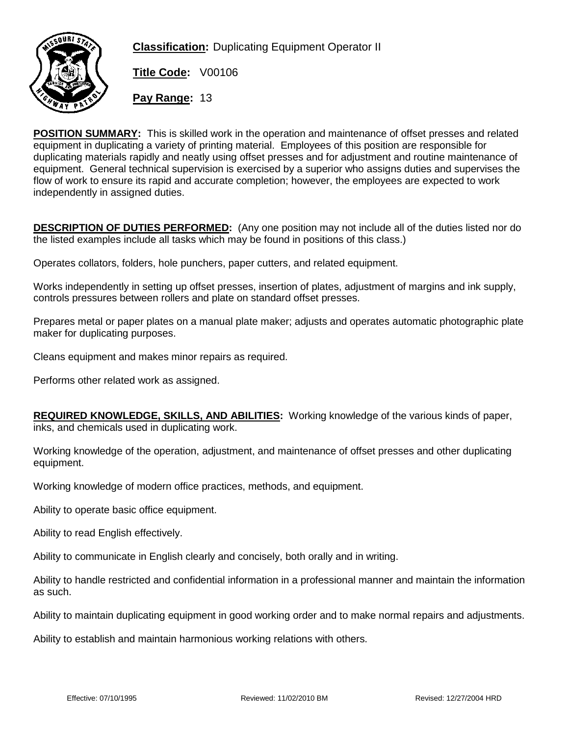

**Classification:** Duplicating Equipment Operator II

**Title Code:** V00106

**Pay Range:** 13

**POSITION SUMMARY:** This is skilled work in the operation and maintenance of offset presses and related equipment in duplicating a variety of printing material. Employees of this position are responsible for duplicating materials rapidly and neatly using offset presses and for adjustment and routine maintenance of equipment. General technical supervision is exercised by a superior who assigns duties and supervises the flow of work to ensure its rapid and accurate completion; however, the employees are expected to work independently in assigned duties.

**DESCRIPTION OF DUTIES PERFORMED:** (Any one position may not include all of the duties listed nor do the listed examples include all tasks which may be found in positions of this class.)

Operates collators, folders, hole punchers, paper cutters, and related equipment.

Works independently in setting up offset presses, insertion of plates, adjustment of margins and ink supply, controls pressures between rollers and plate on standard offset presses.

Prepares metal or paper plates on a manual plate maker; adjusts and operates automatic photographic plate maker for duplicating purposes.

Cleans equipment and makes minor repairs as required.

Performs other related work as assigned.

**REQUIRED KNOWLEDGE, SKILLS, AND ABILITIES:** Working knowledge of the various kinds of paper, inks, and chemicals used in duplicating work.

Working knowledge of the operation, adjustment, and maintenance of offset presses and other duplicating equipment.

Working knowledge of modern office practices, methods, and equipment.

Ability to operate basic office equipment.

Ability to read English effectively.

Ability to communicate in English clearly and concisely, both orally and in writing.

Ability to handle restricted and confidential information in a professional manner and maintain the information as such.

Ability to maintain duplicating equipment in good working order and to make normal repairs and adjustments.

Ability to establish and maintain harmonious working relations with others.